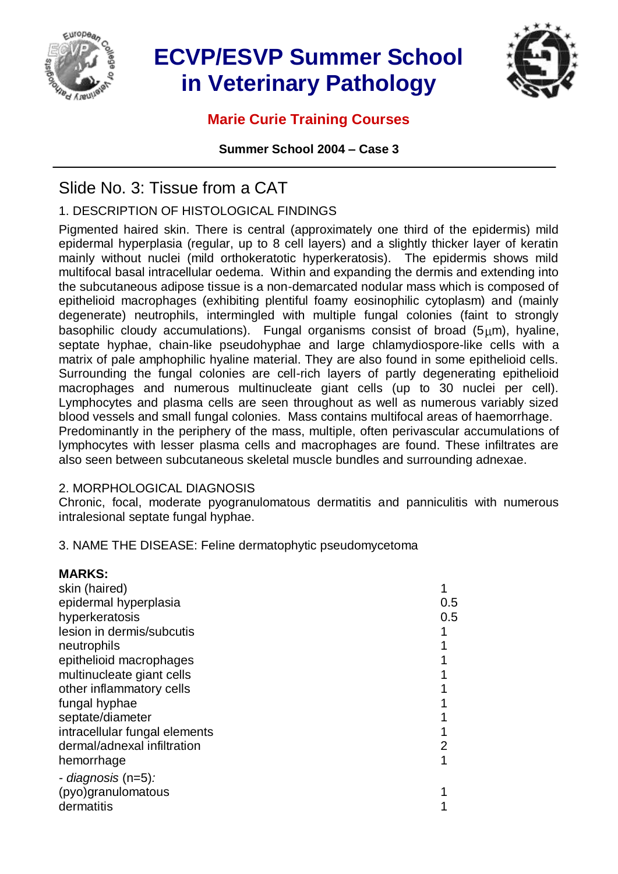

# **ECVP/ESVP Summer School in Veterinary Pathology**



### **Marie Curie Training Courses**

**Summer School 2004 – Case 3**

## Slide No. 3: Tissue from a CAT

### 1. DESCRIPTION OF HISTOLOGICAL FINDINGS

Pigmented haired skin. There is central (approximately one third of the epidermis) mild epidermal hyperplasia (regular, up to 8 cell layers) and a slightly thicker layer of keratin mainly without nuclei (mild orthokeratotic hyperkeratosis). The epidermis shows mild multifocal basal intracellular oedema. Within and expanding the dermis and extending into the subcutaneous adipose tissue is a non-demarcated nodular mass which is composed of epithelioid macrophages (exhibiting plentiful foamy eosinophilic cytoplasm) and (mainly degenerate) neutrophils, intermingled with multiple fungal colonies (faint to strongly basophilic cloudy accumulations). Fungal organisms consist of broad  $(5 \mu m)$ , hyaline, septate hyphae, chain-like pseudohyphae and large chlamydiospore-like cells with a matrix of pale amphophilic hyaline material. They are also found in some epithelioid cells. Surrounding the fungal colonies are cell-rich layers of partly degenerating epithelioid macrophages and numerous multinucleate giant cells (up to 30 nuclei per cell). Lymphocytes and plasma cells are seen throughout as well as numerous variably sized blood vessels and small fungal colonies. Mass contains multifocal areas of haemorrhage. Predominantly in the periphery of the mass, multiple, often perivascular accumulations of lymphocytes with lesser plasma cells and macrophages are found. These infiltrates are also seen between subcutaneous skeletal muscle bundles and surrounding adnexae.

#### 2. MORPHOLOGICAL DIAGNOSIS

**MARKS:**

Chronic, focal, moderate pyogranulomatous dermatitis and panniculitis with numerous intralesional septate fungal hyphae.

3. NAME THE DISEASE: Feline dermatophytic pseudomycetoma

| <b>MARKS:</b>                 |     |
|-------------------------------|-----|
| skin (haired)                 |     |
| epidermal hyperplasia         | 0.5 |
| hyperkeratosis                | 0.5 |
| lesion in dermis/subcutis     |     |
| neutrophils                   |     |
| epithelioid macrophages       |     |
| multinucleate giant cells     |     |
| other inflammatory cells      |     |
| fungal hyphae                 |     |
| septate/diameter              |     |
| intracellular fungal elements |     |
| dermal/adnexal infiltration   |     |
| hemorrhage                    |     |
| - diagnosis (n=5):            |     |
| (pyo)granulomatous            |     |
| dermatitis                    |     |
|                               |     |